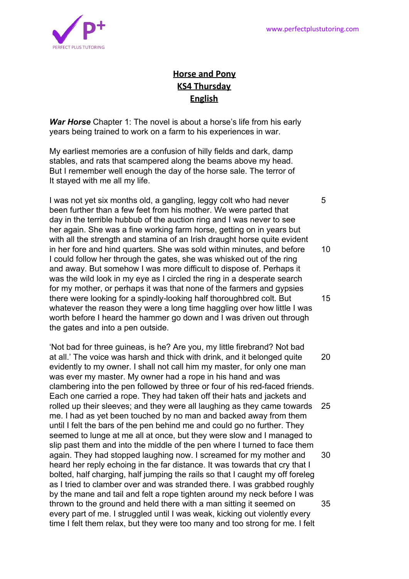

## **Horse and Pony KS4 Thursday English**

*War Horse* Chapter 1: The novel is about a horse's life from his early years being trained to work on a farm to his experiences in war.

My earliest memories are a confusion of hilly fields and dark, damp stables, and rats that scampered along the beams above my head. But I remember well enough the day of the horse sale. The terror of It stayed with me all my life.

I was not yet six months old, a gangling, leggy colt who had never 5 been further than a few feet from his mother. We were parted that day in the terrible hubbub of the auction ring and I was never to see her again. She was a fine working farm horse, getting on in years but with all the strength and stamina of an Irish draught horse quite evident in her fore and hind quarters. She was sold within minutes, and before 10 I could follow her through the gates, she was whisked out of the ring and away. But somehow I was more difficult to dispose of. Perhaps it was the wild look in my eye as I circled the ring in a desperate search for my mother, or perhaps it was that none of the farmers and gypsies there were looking for a spindly-looking half thoroughbred colt. But 15 whatever the reason they were a long time haggling over how little I was worth before I heard the hammer go down and I was driven out through the gates and into a pen outside.

'Not bad for three guineas, is he? Are you, my little firebrand? Not bad at all.' The voice was harsh and thick with drink, and it belonged quite 20 evidently to my owner. I shall not call him my master, for only one man was ever my master. My owner had a rope in his hand and was clambering into the pen followed by three or four of his red-faced friends. Each one carried a rope. They had taken off their hats and jackets and rolled up their sleeves; and they were all laughing as they came towards 25 me. I had as yet been touched by no man and backed away from them until I felt the bars of the pen behind me and could go no further. They seemed to lunge at me all at once, but they were slow and I managed to slip past them and into the middle of the pen where I turned to face them again. They had stopped laughing now. I screamed for my mother and 30 heard her reply echoing in the far distance. It was towards that cry that I bolted, half charging, half jumping the rails so that I caught my off foreleg as I tried to clamber over and was stranded there. I was grabbed roughly by the mane and tail and felt a rope tighten around my neck before I was thrown to the ground and held there with a man sitting it seemed on 35 every part of me. I struggled until I was weak, kicking out violently every time I felt them relax, but they were too many and too strong for me. I felt